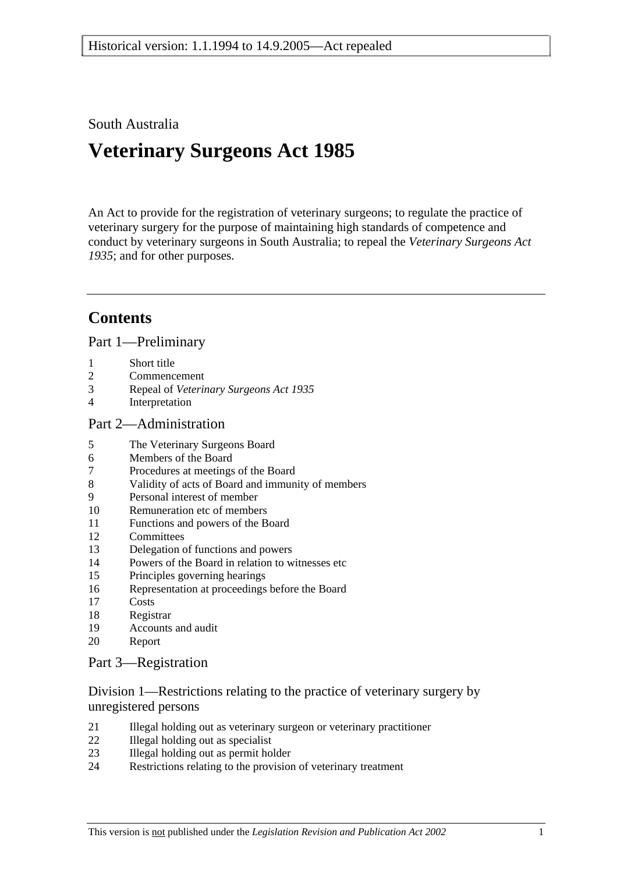### South Australia

# **Veterinary Surgeons Act 1985**

An Act to provide for the registration of veterinary surgeons; to regulate the practice of veterinary surgery for the purpose of maintaining high standards of competence and conduct by veterinary surgeons in South Australia; to repeal the *Veterinary Surgeons Act 1935*; and for other purposes.

## **Contents**

Part 1—Preliminary

- 1 Short title
- 2 Commencement
- 3 Repeal of *Veterinary Surgeons Act 1935*
- 4 Interpretation

### Part 2—Administration

- 5 The Veterinary Surgeons Board
- 6 Members of the Board
- 7 Procedures at meetings of the Board
- 8 Validity of acts of Board and immunity of members
- 9 Personal interest of member
- 10 Remuneration etc of members
- 11 Functions and powers of the Board
- 12 Committees
- 13 Delegation of functions and powers
- 14 Powers of the Board in relation to witnesses etc
- 15 Principles governing hearings
- 16 Representation at proceedings before the Board
- 17 Costs
- 18 Registrar
- 19 Accounts and audit
- 20 Report

### Part 3—Registration

Division 1—Restrictions relating to the practice of veterinary surgery by unregistered persons

- 21 Illegal holding out as veterinary surgeon or veterinary practitioner
- 22 Illegal holding out as specialist
- 23 Illegal holding out as permit holder
- 24 Restrictions relating to the provision of veterinary treatment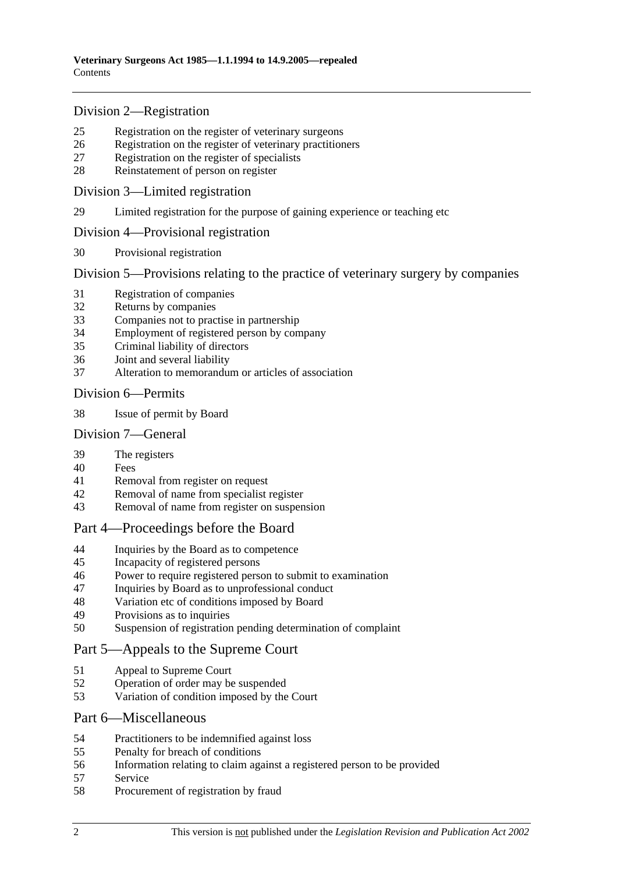### Division 2—Registration

- 25 Registration on the register of veterinary surgeons
- 26 Registration on the register of veterinary practitioners
- 27 Registration on the register of specialists
- 28 Reinstatement of person on register

### Division 3—Limited registration

29 Limited registration for the purpose of gaining experience or teaching etc

### Division 4—Provisional registration

30 Provisional registration

Division 5—Provisions relating to the practice of veterinary surgery by companies

- 31 Registration of companies
- 32 Returns by companies
- 33 Companies not to practise in partnership
- 34 Employment of registered person by company
- 35 Criminal liability of directors
- 36 Joint and several liability
- 37 Alteration to memorandum or articles of association

### Division 6—Permits

38 Issue of permit by Board

### Division 7—General

- 39 The registers
- 40 Fees
- 41 Removal from register on request
- 42 Removal of name from specialist register
- 43 Removal of name from register on suspension

### Part 4—Proceedings before the Board

- 44 Inquiries by the Board as to competence
- 45 Incapacity of registered persons
- 46 Power to require registered person to submit to examination
- 47 Inquiries by Board as to unprofessional conduct
- 48 Variation etc of conditions imposed by Board
- 49 Provisions as to inquiries
- 50 Suspension of registration pending determination of complaint

### Part 5—Appeals to the Supreme Court

- 51 Appeal to Supreme Court
- 52 Operation of order may be suspended
- 53 Variation of condition imposed by the Court

### Part 6—Miscellaneous

- 54 Practitioners to be indemnified against loss
- 55 Penalty for breach of conditions
- 56 Information relating to claim against a registered person to be provided
- 57 Service
- 58 Procurement of registration by fraud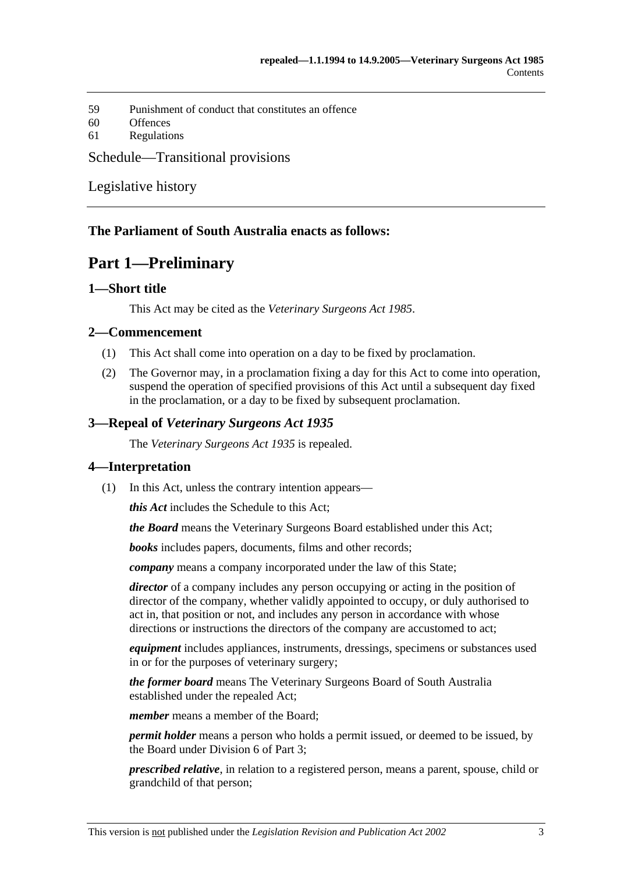59 Punishment of conduct that constitutes an offence

60 Offences

61 Regulations

### Schedule—Transitional provisions

Legislative history

### **The Parliament of South Australia enacts as follows:**

## **Part 1—Preliminary**

### **1—Short title**

This Act may be cited as the *Veterinary Surgeons Act 1985*.

### **2—Commencement**

- (1) This Act shall come into operation on a day to be fixed by proclamation.
- (2) The Governor may, in a proclamation fixing a day for this Act to come into operation, suspend the operation of specified provisions of this Act until a subsequent day fixed in the proclamation, or a day to be fixed by subsequent proclamation.

### **3—Repeal of** *Veterinary Surgeons Act 1935*

The *Veterinary Surgeons Act 1935* is repealed.

### **4—Interpretation**

(1) In this Act, unless the contrary intention appears—

*this Act* includes the Schedule to this Act;

*the Board* means the Veterinary Surgeons Board established under this Act;

*books* includes papers, documents, films and other records;

*company* means a company incorporated under the law of this State;

*director* of a company includes any person occupying or acting in the position of director of the company, whether validly appointed to occupy, or duly authorised to act in, that position or not, and includes any person in accordance with whose directions or instructions the directors of the company are accustomed to act;

*equipment* includes appliances, instruments, dressings, specimens or substances used in or for the purposes of veterinary surgery;

*the former board* means The Veterinary Surgeons Board of South Australia established under the repealed Act;

*member* means a member of the Board;

*permit holder* means a person who holds a permit issued, or deemed to be issued, by the Board under Division 6 of Part 3;

*prescribed relative*, in relation to a registered person, means a parent, spouse, child or grandchild of that person;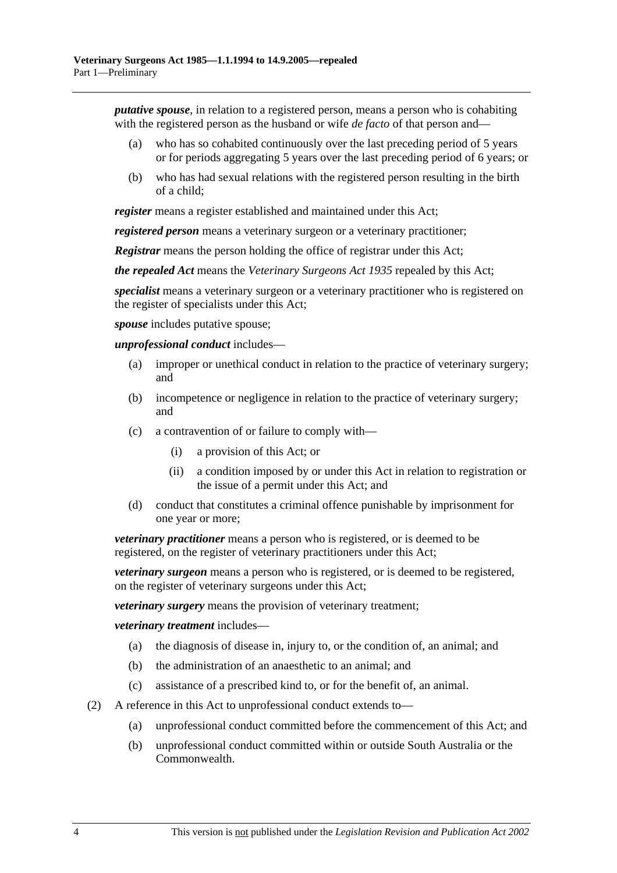*putative spouse*, in relation to a registered person, means a person who is cohabiting with the registered person as the husband or wife *de facto* of that person and—

- (a) who has so cohabited continuously over the last preceding period of 5 years or for periods aggregating 5 years over the last preceding period of 6 years; or
- (b) who has had sexual relations with the registered person resulting in the birth of a child;

*register* means a register established and maintained under this Act;

*registered person* means a veterinary surgeon or a veterinary practitioner;

*Registrar* means the person holding the office of registrar under this Act;

*the repealed Act* means the *Veterinary Surgeons Act 1935* repealed by this Act;

*specialist* means a veterinary surgeon or a veterinary practitioner who is registered on the register of specialists under this Act;

*spouse* includes putative spouse;

*unprofessional conduct* includes—

- (a) improper or unethical conduct in relation to the practice of veterinary surgery; and
- (b) incompetence or negligence in relation to the practice of veterinary surgery; and
- (c) a contravention of or failure to comply with—
	- (i) a provision of this Act; or
	- (ii) a condition imposed by or under this Act in relation to registration or the issue of a permit under this Act; and
- (d) conduct that constitutes a criminal offence punishable by imprisonment for one year or more;

*veterinary practitioner* means a person who is registered, or is deemed to be registered, on the register of veterinary practitioners under this Act;

*veterinary surgeon* means a person who is registered, or is deemed to be registered, on the register of veterinary surgeons under this Act;

*veterinary surgery* means the provision of veterinary treatment;

*veterinary treatment* includes—

- (a) the diagnosis of disease in, injury to, or the condition of, an animal; and
- (b) the administration of an anaesthetic to an animal; and
- (c) assistance of a prescribed kind to, or for the benefit of, an animal.
- (2) A reference in this Act to unprofessional conduct extends to—
	- (a) unprofessional conduct committed before the commencement of this Act; and
	- (b) unprofessional conduct committed within or outside South Australia or the Commonwealth.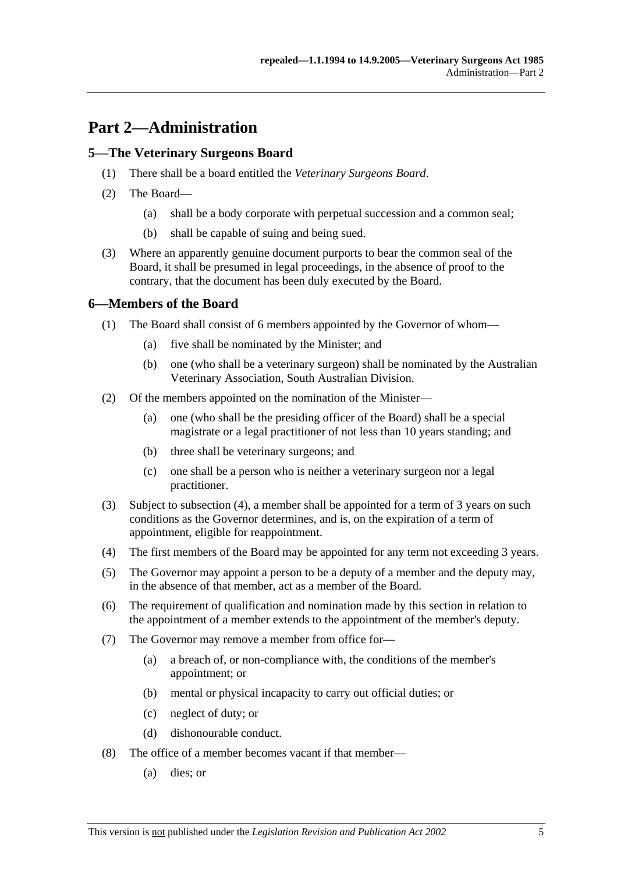# **Part 2—Administration**

### **5—The Veterinary Surgeons Board**

- (1) There shall be a board entitled the *Veterinary Surgeons Board*.
- (2) The Board—
	- (a) shall be a body corporate with perpetual succession and a common seal;
	- (b) shall be capable of suing and being sued.
- (3) Where an apparently genuine document purports to bear the common seal of the Board, it shall be presumed in legal proceedings, in the absence of proof to the contrary, that the document has been duly executed by the Board.

### **6—Members of the Board**

- (1) The Board shall consist of 6 members appointed by the Governor of whom—
	- (a) five shall be nominated by the Minister; and
	- (b) one (who shall be a veterinary surgeon) shall be nominated by the Australian Veterinary Association, South Australian Division.
- (2) Of the members appointed on the nomination of the Minister—
	- (a) one (who shall be the presiding officer of the Board) shall be a special magistrate or a legal practitioner of not less than 10 years standing; and
	- (b) three shall be veterinary surgeons; and
	- (c) one shall be a person who is neither a veterinary surgeon nor a legal practitioner.
- (3) Subject to subsection (4), a member shall be appointed for a term of 3 years on such conditions as the Governor determines, and is, on the expiration of a term of appointment, eligible for reappointment.
- (4) The first members of the Board may be appointed for any term not exceeding 3 years.
- (5) The Governor may appoint a person to be a deputy of a member and the deputy may, in the absence of that member, act as a member of the Board.
- (6) The requirement of qualification and nomination made by this section in relation to the appointment of a member extends to the appointment of the member's deputy.
- (7) The Governor may remove a member from office for—
	- (a) a breach of, or non-compliance with, the conditions of the member's appointment; or
	- (b) mental or physical incapacity to carry out official duties; or
	- (c) neglect of duty; or
	- (d) dishonourable conduct.
- (8) The office of a member becomes vacant if that member—
	- (a) dies; or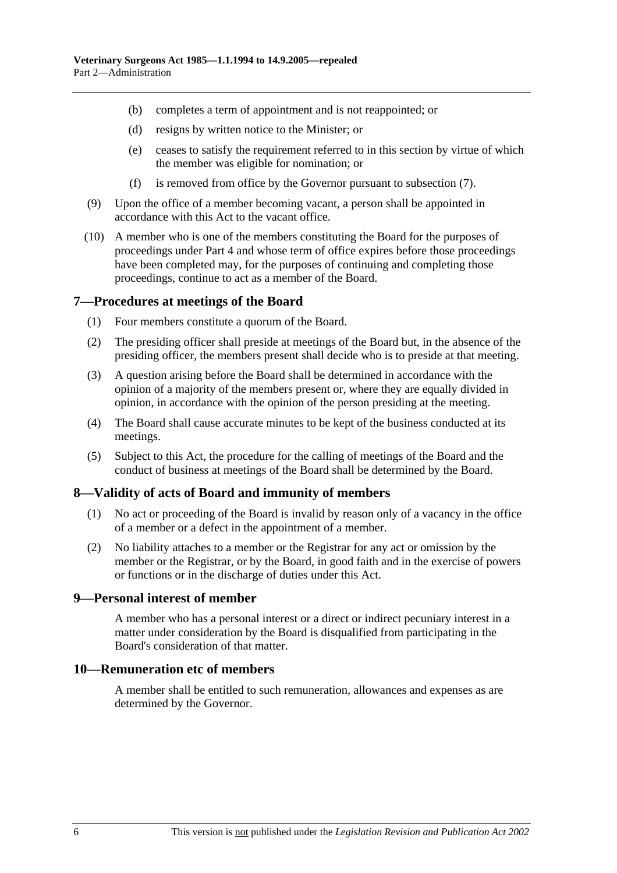- (b) completes a term of appointment and is not reappointed; or
- (d) resigns by written notice to the Minister; or
- (e) ceases to satisfy the requirement referred to in this section by virtue of which the member was eligible for nomination; or
- (f) is removed from office by the Governor pursuant to subsection (7).
- (9) Upon the office of a member becoming vacant, a person shall be appointed in accordance with this Act to the vacant office.
- (10) A member who is one of the members constituting the Board for the purposes of proceedings under Part 4 and whose term of office expires before those proceedings have been completed may, for the purposes of continuing and completing those proceedings, continue to act as a member of the Board.

### **7—Procedures at meetings of the Board**

- (1) Four members constitute a quorum of the Board.
- (2) The presiding officer shall preside at meetings of the Board but, in the absence of the presiding officer, the members present shall decide who is to preside at that meeting.
- (3) A question arising before the Board shall be determined in accordance with the opinion of a majority of the members present or, where they are equally divided in opinion, in accordance with the opinion of the person presiding at the meeting.
- (4) The Board shall cause accurate minutes to be kept of the business conducted at its meetings.
- (5) Subject to this Act, the procedure for the calling of meetings of the Board and the conduct of business at meetings of the Board shall be determined by the Board.

### **8—Validity of acts of Board and immunity of members**

- (1) No act or proceeding of the Board is invalid by reason only of a vacancy in the office of a member or a defect in the appointment of a member.
- (2) No liability attaches to a member or the Registrar for any act or omission by the member or the Registrar, or by the Board, in good faith and in the exercise of powers or functions or in the discharge of duties under this Act.

### **9—Personal interest of member**

A member who has a personal interest or a direct or indirect pecuniary interest in a matter under consideration by the Board is disqualified from participating in the Board's consideration of that matter.

### **10—Remuneration etc of members**

A member shall be entitled to such remuneration, allowances and expenses as are determined by the Governor.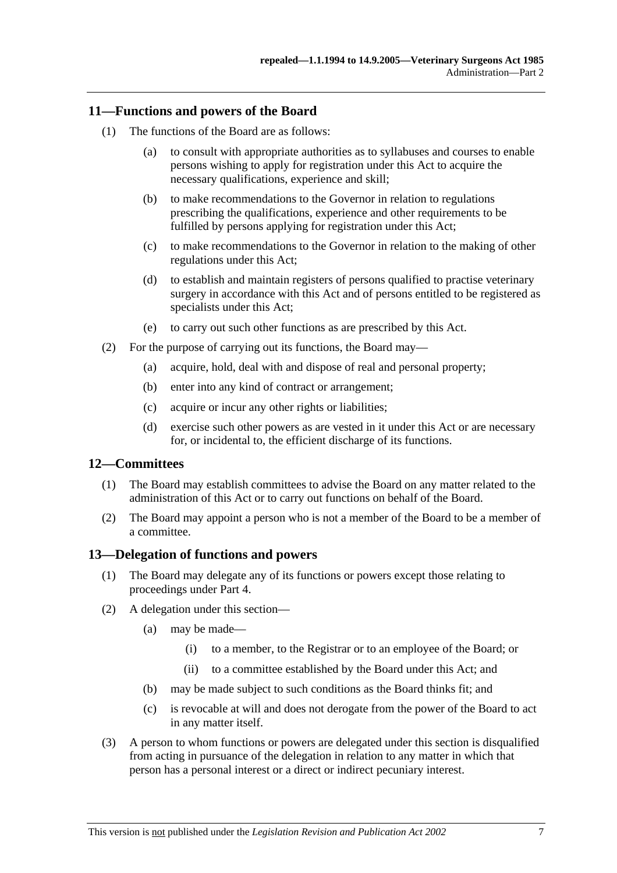### **11—Functions and powers of the Board**

- (1) The functions of the Board are as follows:
	- (a) to consult with appropriate authorities as to syllabuses and courses to enable persons wishing to apply for registration under this Act to acquire the necessary qualifications, experience and skill;
	- (b) to make recommendations to the Governor in relation to regulations prescribing the qualifications, experience and other requirements to be fulfilled by persons applying for registration under this Act;
	- (c) to make recommendations to the Governor in relation to the making of other regulations under this Act;
	- (d) to establish and maintain registers of persons qualified to practise veterinary surgery in accordance with this Act and of persons entitled to be registered as specialists under this Act;
	- (e) to carry out such other functions as are prescribed by this Act.
- (2) For the purpose of carrying out its functions, the Board may—
	- (a) acquire, hold, deal with and dispose of real and personal property;
	- (b) enter into any kind of contract or arrangement;
	- (c) acquire or incur any other rights or liabilities;
	- (d) exercise such other powers as are vested in it under this Act or are necessary for, or incidental to, the efficient discharge of its functions.

### **12—Committees**

- (1) The Board may establish committees to advise the Board on any matter related to the administration of this Act or to carry out functions on behalf of the Board.
- (2) The Board may appoint a person who is not a member of the Board to be a member of a committee.

### **13—Delegation of functions and powers**

- (1) The Board may delegate any of its functions or powers except those relating to proceedings under Part 4.
- (2) A delegation under this section—
	- (a) may be made—
		- (i) to a member, to the Registrar or to an employee of the Board; or
		- (ii) to a committee established by the Board under this Act; and
	- (b) may be made subject to such conditions as the Board thinks fit; and
	- (c) is revocable at will and does not derogate from the power of the Board to act in any matter itself.
- (3) A person to whom functions or powers are delegated under this section is disqualified from acting in pursuance of the delegation in relation to any matter in which that person has a personal interest or a direct or indirect pecuniary interest.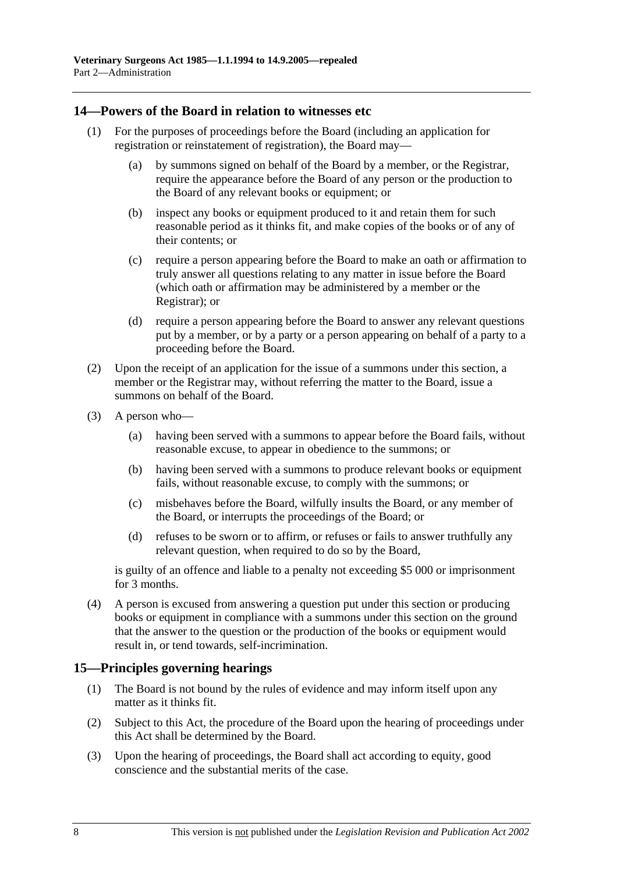### **14—Powers of the Board in relation to witnesses etc**

- (1) For the purposes of proceedings before the Board (including an application for registration or reinstatement of registration), the Board may—
	- (a) by summons signed on behalf of the Board by a member, or the Registrar, require the appearance before the Board of any person or the production to the Board of any relevant books or equipment; or
	- (b) inspect any books or equipment produced to it and retain them for such reasonable period as it thinks fit, and make copies of the books or of any of their contents; or
	- (c) require a person appearing before the Board to make an oath or affirmation to truly answer all questions relating to any matter in issue before the Board (which oath or affirmation may be administered by a member or the Registrar); or
	- (d) require a person appearing before the Board to answer any relevant questions put by a member, or by a party or a person appearing on behalf of a party to a proceeding before the Board.
- (2) Upon the receipt of an application for the issue of a summons under this section, a member or the Registrar may, without referring the matter to the Board, issue a summons on behalf of the Board.
- (3) A person who—
	- (a) having been served with a summons to appear before the Board fails, without reasonable excuse, to appear in obedience to the summons; or
	- (b) having been served with a summons to produce relevant books or equipment fails, without reasonable excuse, to comply with the summons; or
	- (c) misbehaves before the Board, wilfully insults the Board, or any member of the Board, or interrupts the proceedings of the Board; or
	- (d) refuses to be sworn or to affirm, or refuses or fails to answer truthfully any relevant question, when required to do so by the Board,

is guilty of an offence and liable to a penalty not exceeding \$5 000 or imprisonment for 3 months.

 (4) A person is excused from answering a question put under this section or producing books or equipment in compliance with a summons under this section on the ground that the answer to the question or the production of the books or equipment would result in, or tend towards, self-incrimination.

### **15—Principles governing hearings**

- (1) The Board is not bound by the rules of evidence and may inform itself upon any matter as it thinks fit.
- (2) Subject to this Act, the procedure of the Board upon the hearing of proceedings under this Act shall be determined by the Board.
- (3) Upon the hearing of proceedings, the Board shall act according to equity, good conscience and the substantial merits of the case.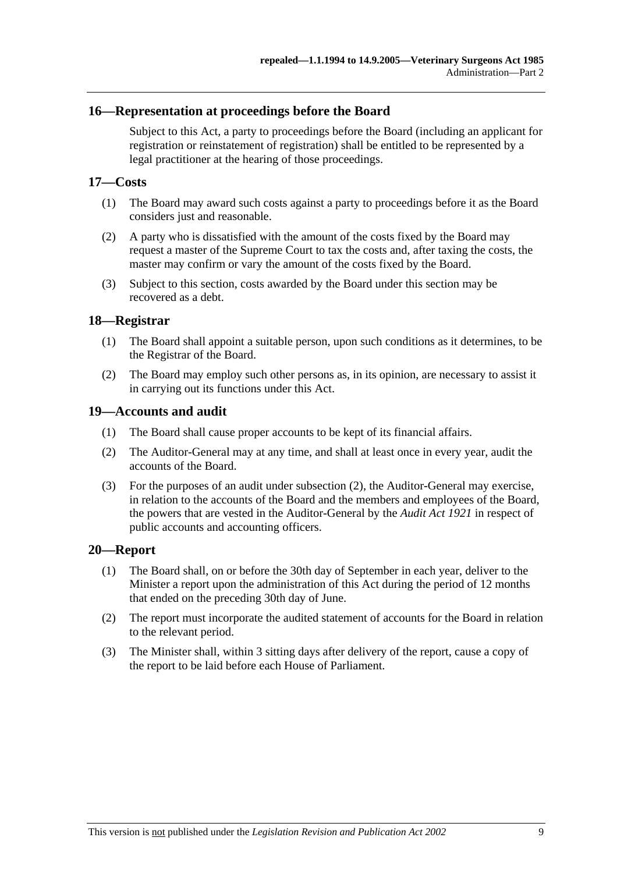### **16—Representation at proceedings before the Board**

Subject to this Act, a party to proceedings before the Board (including an applicant for registration or reinstatement of registration) shall be entitled to be represented by a legal practitioner at the hearing of those proceedings.

### **17—Costs**

- (1) The Board may award such costs against a party to proceedings before it as the Board considers just and reasonable.
- (2) A party who is dissatisfied with the amount of the costs fixed by the Board may request a master of the Supreme Court to tax the costs and, after taxing the costs, the master may confirm or vary the amount of the costs fixed by the Board.
- (3) Subject to this section, costs awarded by the Board under this section may be recovered as a debt.

### **18—Registrar**

- (1) The Board shall appoint a suitable person, upon such conditions as it determines, to be the Registrar of the Board.
- (2) The Board may employ such other persons as, in its opinion, are necessary to assist it in carrying out its functions under this Act.

### **19—Accounts and audit**

- (1) The Board shall cause proper accounts to be kept of its financial affairs.
- (2) The Auditor-General may at any time, and shall at least once in every year, audit the accounts of the Board.
- (3) For the purposes of an audit under subsection (2), the Auditor-General may exercise, in relation to the accounts of the Board and the members and employees of the Board, the powers that are vested in the Auditor-General by the *Audit Act 1921* in respect of public accounts and accounting officers.

### **20—Report**

- (1) The Board shall, on or before the 30th day of September in each year, deliver to the Minister a report upon the administration of this Act during the period of 12 months that ended on the preceding 30th day of June.
- (2) The report must incorporate the audited statement of accounts for the Board in relation to the relevant period.
- (3) The Minister shall, within 3 sitting days after delivery of the report, cause a copy of the report to be laid before each House of Parliament.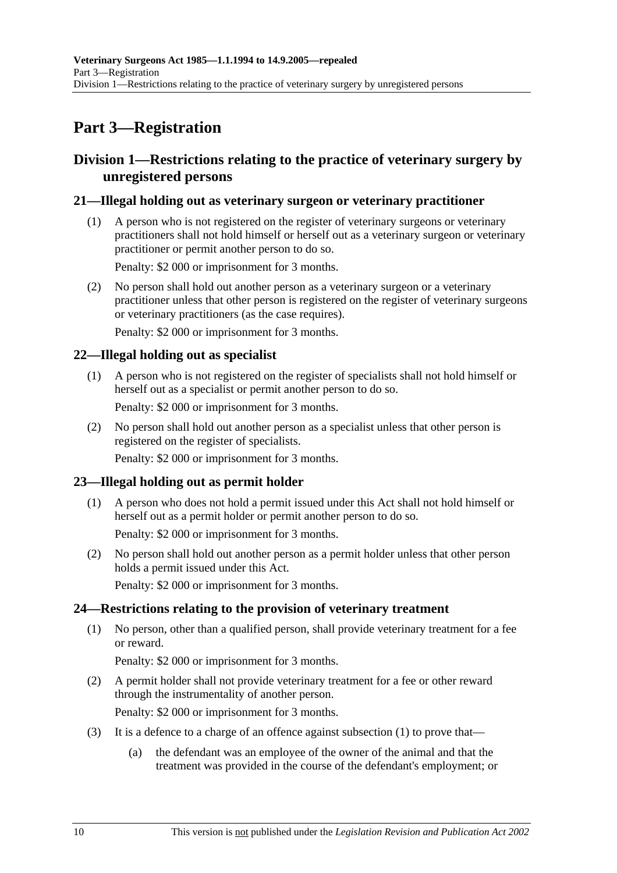# **Part 3—Registration**

### **Division 1—Restrictions relating to the practice of veterinary surgery by unregistered persons**

### **21—Illegal holding out as veterinary surgeon or veterinary practitioner**

 (1) A person who is not registered on the register of veterinary surgeons or veterinary practitioners shall not hold himself or herself out as a veterinary surgeon or veterinary practitioner or permit another person to do so.

Penalty: \$2 000 or imprisonment for 3 months.

 (2) No person shall hold out another person as a veterinary surgeon or a veterinary practitioner unless that other person is registered on the register of veterinary surgeons or veterinary practitioners (as the case requires).

Penalty: \$2 000 or imprisonment for 3 months.

### **22—Illegal holding out as specialist**

 (1) A person who is not registered on the register of specialists shall not hold himself or herself out as a specialist or permit another person to do so.

Penalty: \$2 000 or imprisonment for 3 months.

 (2) No person shall hold out another person as a specialist unless that other person is registered on the register of specialists.

Penalty: \$2 000 or imprisonment for 3 months.

### **23—Illegal holding out as permit holder**

 (1) A person who does not hold a permit issued under this Act shall not hold himself or herself out as a permit holder or permit another person to do so.

Penalty: \$2 000 or imprisonment for 3 months.

 (2) No person shall hold out another person as a permit holder unless that other person holds a permit issued under this Act.

Penalty: \$2 000 or imprisonment for 3 months.

### **24—Restrictions relating to the provision of veterinary treatment**

 (1) No person, other than a qualified person, shall provide veterinary treatment for a fee or reward.

Penalty: \$2 000 or imprisonment for 3 months.

 (2) A permit holder shall not provide veterinary treatment for a fee or other reward through the instrumentality of another person.

Penalty: \$2 000 or imprisonment for 3 months.

- (3) It is a defence to a charge of an offence against subsection  $(1)$  to prove that—
	- (a) the defendant was an employee of the owner of the animal and that the treatment was provided in the course of the defendant's employment; or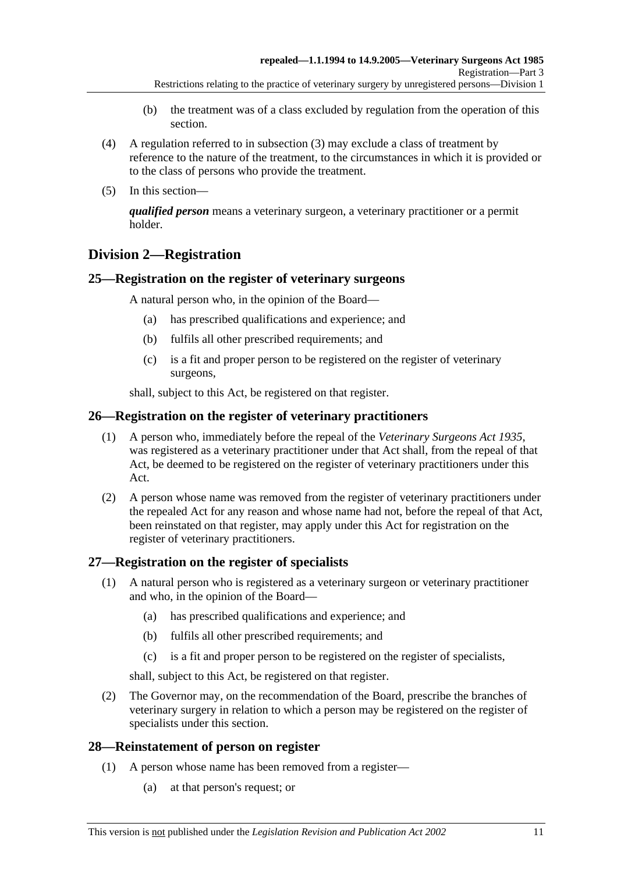- (b) the treatment was of a class excluded by regulation from the operation of this section.
- (4) A regulation referred to in subsection (3) may exclude a class of treatment by reference to the nature of the treatment, to the circumstances in which it is provided or to the class of persons who provide the treatment.
- (5) In this section—

*qualified person* means a veterinary surgeon, a veterinary practitioner or a permit holder.

## **Division 2—Registration**

### **25—Registration on the register of veterinary surgeons**

A natural person who, in the opinion of the Board—

- (a) has prescribed qualifications and experience; and
- (b) fulfils all other prescribed requirements; and
- (c) is a fit and proper person to be registered on the register of veterinary surgeons,

shall, subject to this Act, be registered on that register.

### **26—Registration on the register of veterinary practitioners**

- (1) A person who, immediately before the repeal of the *Veterinary Surgeons Act 1935*, was registered as a veterinary practitioner under that Act shall, from the repeal of that Act, be deemed to be registered on the register of veterinary practitioners under this Act.
- (2) A person whose name was removed from the register of veterinary practitioners under the repealed Act for any reason and whose name had not, before the repeal of that Act, been reinstated on that register, may apply under this Act for registration on the register of veterinary practitioners.

### **27—Registration on the register of specialists**

- (1) A natural person who is registered as a veterinary surgeon or veterinary practitioner and who, in the opinion of the Board—
	- (a) has prescribed qualifications and experience; and
	- (b) fulfils all other prescribed requirements; and
	- (c) is a fit and proper person to be registered on the register of specialists,

shall, subject to this Act, be registered on that register.

 (2) The Governor may, on the recommendation of the Board, prescribe the branches of veterinary surgery in relation to which a person may be registered on the register of specialists under this section.

### **28—Reinstatement of person on register**

- (1) A person whose name has been removed from a register—
	- (a) at that person's request; or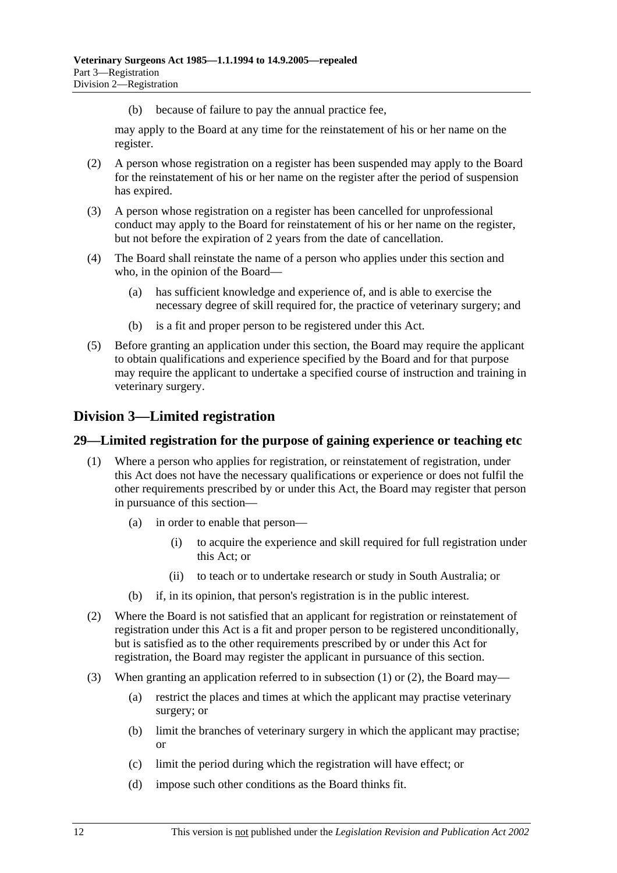(b) because of failure to pay the annual practice fee,

may apply to the Board at any time for the reinstatement of his or her name on the register.

- (2) A person whose registration on a register has been suspended may apply to the Board for the reinstatement of his or her name on the register after the period of suspension has expired.
- (3) A person whose registration on a register has been cancelled for unprofessional conduct may apply to the Board for reinstatement of his or her name on the register, but not before the expiration of 2 years from the date of cancellation.
- (4) The Board shall reinstate the name of a person who applies under this section and who, in the opinion of the Board—
	- (a) has sufficient knowledge and experience of, and is able to exercise the necessary degree of skill required for, the practice of veterinary surgery; and
	- (b) is a fit and proper person to be registered under this Act.
- (5) Before granting an application under this section, the Board may require the applicant to obtain qualifications and experience specified by the Board and for that purpose may require the applicant to undertake a specified course of instruction and training in veterinary surgery.

### **Division 3—Limited registration**

### **29—Limited registration for the purpose of gaining experience or teaching etc**

- (1) Where a person who applies for registration, or reinstatement of registration, under this Act does not have the necessary qualifications or experience or does not fulfil the other requirements prescribed by or under this Act, the Board may register that person in pursuance of this section—
	- (a) in order to enable that person—
		- (i) to acquire the experience and skill required for full registration under this Act; or
		- (ii) to teach or to undertake research or study in South Australia; or
	- (b) if, in its opinion, that person's registration is in the public interest.
- (2) Where the Board is not satisfied that an applicant for registration or reinstatement of registration under this Act is a fit and proper person to be registered unconditionally, but is satisfied as to the other requirements prescribed by or under this Act for registration, the Board may register the applicant in pursuance of this section.
- (3) When granting an application referred to in subsection (1) or (2), the Board may—
	- (a) restrict the places and times at which the applicant may practise veterinary surgery; or
	- (b) limit the branches of veterinary surgery in which the applicant may practise; or
	- (c) limit the period during which the registration will have effect; or
	- (d) impose such other conditions as the Board thinks fit.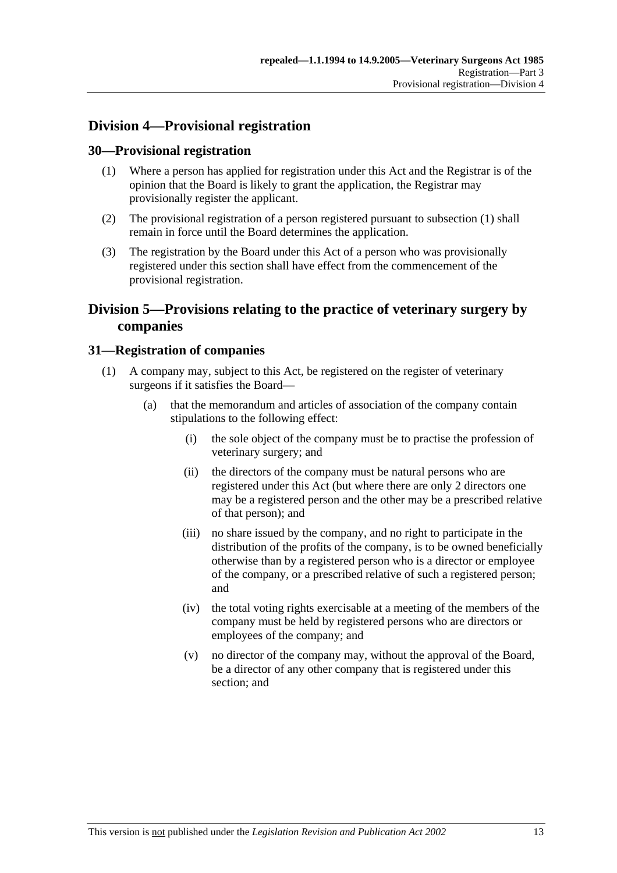## **Division 4—Provisional registration**

### **30—Provisional registration**

- (1) Where a person has applied for registration under this Act and the Registrar is of the opinion that the Board is likely to grant the application, the Registrar may provisionally register the applicant.
- (2) The provisional registration of a person registered pursuant to subsection (1) shall remain in force until the Board determines the application.
- (3) The registration by the Board under this Act of a person who was provisionally registered under this section shall have effect from the commencement of the provisional registration.

## **Division 5—Provisions relating to the practice of veterinary surgery by companies**

### **31—Registration of companies**

- (1) A company may, subject to this Act, be registered on the register of veterinary surgeons if it satisfies the Board—
	- (a) that the memorandum and articles of association of the company contain stipulations to the following effect:
		- (i) the sole object of the company must be to practise the profession of veterinary surgery; and
		- (ii) the directors of the company must be natural persons who are registered under this Act (but where there are only 2 directors one may be a registered person and the other may be a prescribed relative of that person); and
		- (iii) no share issued by the company, and no right to participate in the distribution of the profits of the company, is to be owned beneficially otherwise than by a registered person who is a director or employee of the company, or a prescribed relative of such a registered person; and
		- (iv) the total voting rights exercisable at a meeting of the members of the company must be held by registered persons who are directors or employees of the company; and
		- (v) no director of the company may, without the approval of the Board, be a director of any other company that is registered under this section; and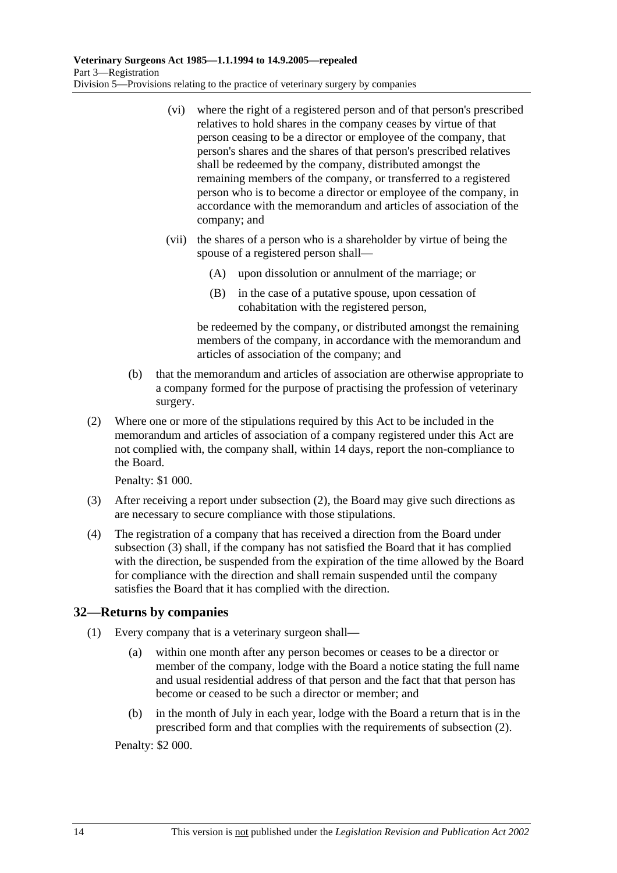- (vi) where the right of a registered person and of that person's prescribed relatives to hold shares in the company ceases by virtue of that person ceasing to be a director or employee of the company, that person's shares and the shares of that person's prescribed relatives shall be redeemed by the company, distributed amongst the remaining members of the company, or transferred to a registered person who is to become a director or employee of the company, in accordance with the memorandum and articles of association of the company; and
- (vii) the shares of a person who is a shareholder by virtue of being the spouse of a registered person shall—
	- (A) upon dissolution or annulment of the marriage; or
	- (B) in the case of a putative spouse, upon cessation of cohabitation with the registered person,

be redeemed by the company, or distributed amongst the remaining members of the company, in accordance with the memorandum and articles of association of the company; and

- (b) that the memorandum and articles of association are otherwise appropriate to a company formed for the purpose of practising the profession of veterinary surgery.
- (2) Where one or more of the stipulations required by this Act to be included in the memorandum and articles of association of a company registered under this Act are not complied with, the company shall, within 14 days, report the non-compliance to the Board.

Penalty: \$1 000.

- (3) After receiving a report under subsection (2), the Board may give such directions as are necessary to secure compliance with those stipulations.
- (4) The registration of a company that has received a direction from the Board under subsection (3) shall, if the company has not satisfied the Board that it has complied with the direction, be suspended from the expiration of the time allowed by the Board for compliance with the direction and shall remain suspended until the company satisfies the Board that it has complied with the direction.

### **32—Returns by companies**

- (1) Every company that is a veterinary surgeon shall—
	- (a) within one month after any person becomes or ceases to be a director or member of the company, lodge with the Board a notice stating the full name and usual residential address of that person and the fact that that person has become or ceased to be such a director or member; and
	- (b) in the month of July in each year, lodge with the Board a return that is in the prescribed form and that complies with the requirements of subsection (2).

Penalty: \$2 000.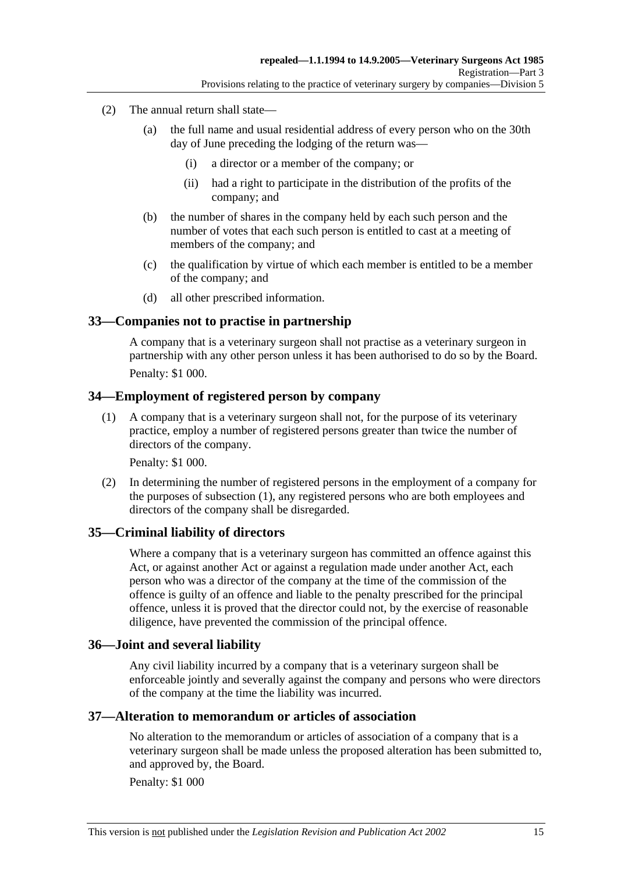- (2) The annual return shall state—
	- (a) the full name and usual residential address of every person who on the 30th day of June preceding the lodging of the return was—
		- (i) a director or a member of the company; or
		- (ii) had a right to participate in the distribution of the profits of the company; and
	- (b) the number of shares in the company held by each such person and the number of votes that each such person is entitled to cast at a meeting of members of the company; and
	- (c) the qualification by virtue of which each member is entitled to be a member of the company; and
	- (d) all other prescribed information.

### **33—Companies not to practise in partnership**

A company that is a veterinary surgeon shall not practise as a veterinary surgeon in partnership with any other person unless it has been authorised to do so by the Board. Penalty: \$1 000.

### **34—Employment of registered person by company**

 (1) A company that is a veterinary surgeon shall not, for the purpose of its veterinary practice, employ a number of registered persons greater than twice the number of directors of the company.

Penalty: \$1 000.

 (2) In determining the number of registered persons in the employment of a company for the purposes of subsection (1), any registered persons who are both employees and directors of the company shall be disregarded.

### **35—Criminal liability of directors**

Where a company that is a veterinary surgeon has committed an offence against this Act, or against another Act or against a regulation made under another Act, each person who was a director of the company at the time of the commission of the offence is guilty of an offence and liable to the penalty prescribed for the principal offence, unless it is proved that the director could not, by the exercise of reasonable diligence, have prevented the commission of the principal offence.

### **36—Joint and several liability**

Any civil liability incurred by a company that is a veterinary surgeon shall be enforceable jointly and severally against the company and persons who were directors of the company at the time the liability was incurred.

### **37—Alteration to memorandum or articles of association**

No alteration to the memorandum or articles of association of a company that is a veterinary surgeon shall be made unless the proposed alteration has been submitted to, and approved by, the Board.

Penalty: \$1 000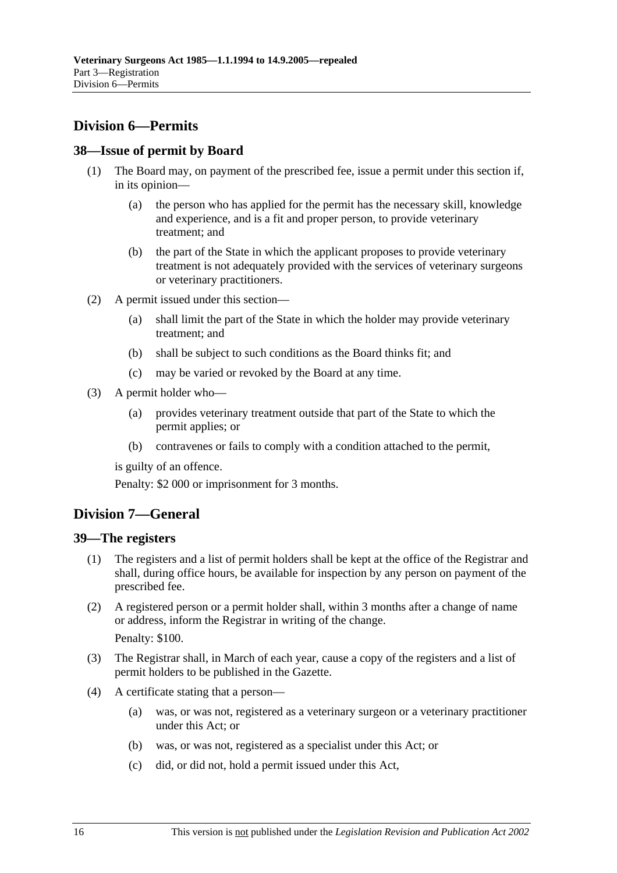## **Division 6—Permits**

### **38—Issue of permit by Board**

- (1) The Board may, on payment of the prescribed fee, issue a permit under this section if, in its opinion—
	- (a) the person who has applied for the permit has the necessary skill, knowledge and experience, and is a fit and proper person, to provide veterinary treatment; and
	- (b) the part of the State in which the applicant proposes to provide veterinary treatment is not adequately provided with the services of veterinary surgeons or veterinary practitioners.
- (2) A permit issued under this section—
	- (a) shall limit the part of the State in which the holder may provide veterinary treatment; and
	- (b) shall be subject to such conditions as the Board thinks fit; and
	- (c) may be varied or revoked by the Board at any time.
- (3) A permit holder who—
	- (a) provides veterinary treatment outside that part of the State to which the permit applies; or
	- (b) contravenes or fails to comply with a condition attached to the permit,

is guilty of an offence.

Penalty: \$2 000 or imprisonment for 3 months.

## **Division 7—General**

### **39—The registers**

- (1) The registers and a list of permit holders shall be kept at the office of the Registrar and shall, during office hours, be available for inspection by any person on payment of the prescribed fee.
- (2) A registered person or a permit holder shall, within 3 months after a change of name or address, inform the Registrar in writing of the change.

Penalty: \$100.

- (3) The Registrar shall, in March of each year, cause a copy of the registers and a list of permit holders to be published in the Gazette.
- (4) A certificate stating that a person—
	- (a) was, or was not, registered as a veterinary surgeon or a veterinary practitioner under this Act; or
	- (b) was, or was not, registered as a specialist under this Act; or
	- (c) did, or did not, hold a permit issued under this Act,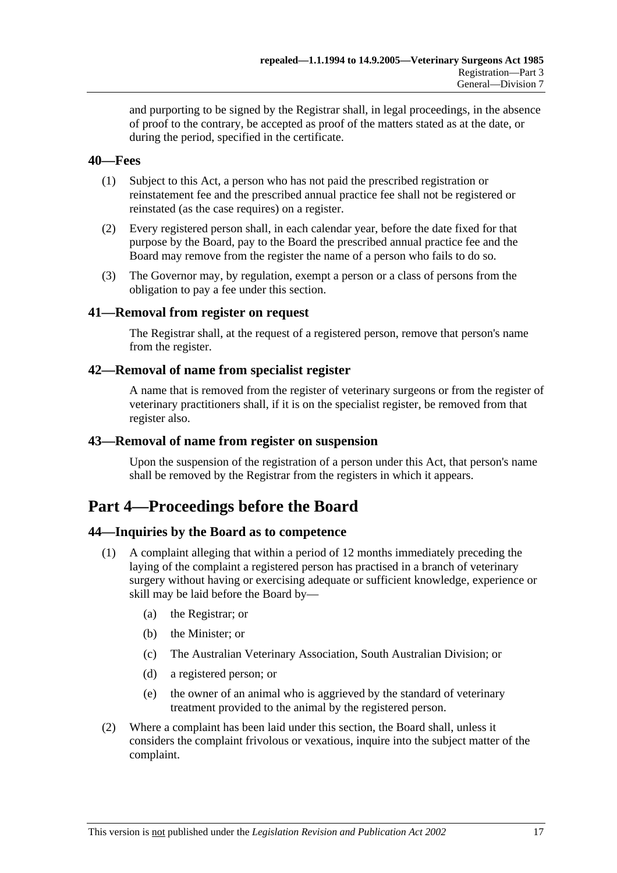and purporting to be signed by the Registrar shall, in legal proceedings, in the absence of proof to the contrary, be accepted as proof of the matters stated as at the date, or during the period, specified in the certificate.

### **40—Fees**

- (1) Subject to this Act, a person who has not paid the prescribed registration or reinstatement fee and the prescribed annual practice fee shall not be registered or reinstated (as the case requires) on a register.
- (2) Every registered person shall, in each calendar year, before the date fixed for that purpose by the Board, pay to the Board the prescribed annual practice fee and the Board may remove from the register the name of a person who fails to do so.
- (3) The Governor may, by regulation, exempt a person or a class of persons from the obligation to pay a fee under this section.

### **41—Removal from register on request**

The Registrar shall, at the request of a registered person, remove that person's name from the register.

### **42—Removal of name from specialist register**

A name that is removed from the register of veterinary surgeons or from the register of veterinary practitioners shall, if it is on the specialist register, be removed from that register also.

### **43—Removal of name from register on suspension**

Upon the suspension of the registration of a person under this Act, that person's name shall be removed by the Registrar from the registers in which it appears.

## **Part 4—Proceedings before the Board**

### **44—Inquiries by the Board as to competence**

- (1) A complaint alleging that within a period of 12 months immediately preceding the laying of the complaint a registered person has practised in a branch of veterinary surgery without having or exercising adequate or sufficient knowledge, experience or skill may be laid before the Board by—
	- (a) the Registrar; or
	- (b) the Minister; or
	- (c) The Australian Veterinary Association, South Australian Division; or
	- (d) a registered person; or
	- (e) the owner of an animal who is aggrieved by the standard of veterinary treatment provided to the animal by the registered person.
- (2) Where a complaint has been laid under this section, the Board shall, unless it considers the complaint frivolous or vexatious, inquire into the subject matter of the complaint.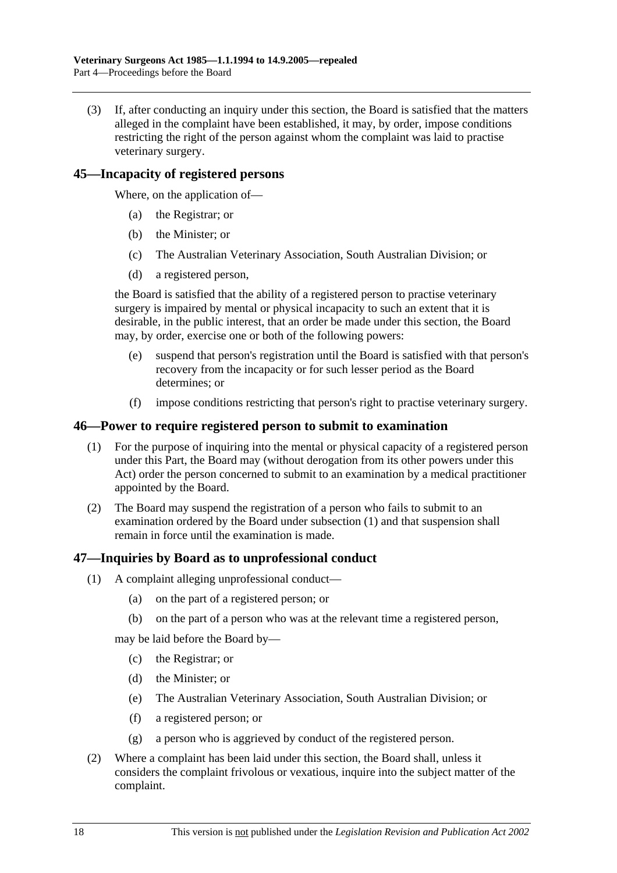(3) If, after conducting an inquiry under this section, the Board is satisfied that the matters alleged in the complaint have been established, it may, by order, impose conditions restricting the right of the person against whom the complaint was laid to practise veterinary surgery.

### **45—Incapacity of registered persons**

Where, on the application of—

- (a) the Registrar; or
- (b) the Minister; or
- (c) The Australian Veterinary Association, South Australian Division; or
- (d) a registered person,

the Board is satisfied that the ability of a registered person to practise veterinary surgery is impaired by mental or physical incapacity to such an extent that it is desirable, in the public interest, that an order be made under this section, the Board may, by order, exercise one or both of the following powers:

- (e) suspend that person's registration until the Board is satisfied with that person's recovery from the incapacity or for such lesser period as the Board determines; or
- (f) impose conditions restricting that person's right to practise veterinary surgery.

### **46—Power to require registered person to submit to examination**

- (1) For the purpose of inquiring into the mental or physical capacity of a registered person under this Part, the Board may (without derogation from its other powers under this Act) order the person concerned to submit to an examination by a medical practitioner appointed by the Board.
- (2) The Board may suspend the registration of a person who fails to submit to an examination ordered by the Board under subsection (1) and that suspension shall remain in force until the examination is made.

### **47—Inquiries by Board as to unprofessional conduct**

- (1) A complaint alleging unprofessional conduct—
	- (a) on the part of a registered person; or
	- (b) on the part of a person who was at the relevant time a registered person,

may be laid before the Board by—

- (c) the Registrar; or
- (d) the Minister; or
- (e) The Australian Veterinary Association, South Australian Division; or
- (f) a registered person; or
- (g) a person who is aggrieved by conduct of the registered person.
- (2) Where a complaint has been laid under this section, the Board shall, unless it considers the complaint frivolous or vexatious, inquire into the subject matter of the complaint.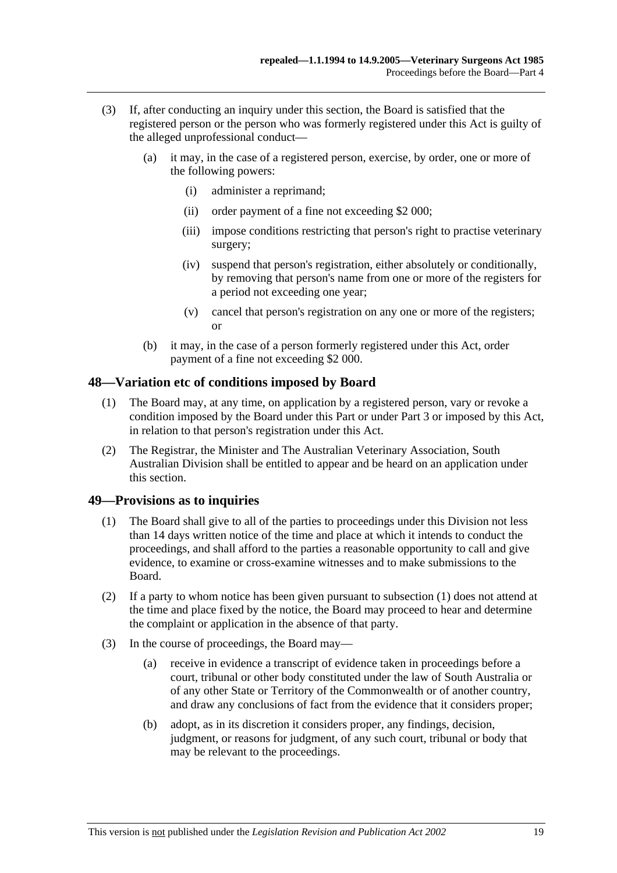- (3) If, after conducting an inquiry under this section, the Board is satisfied that the registered person or the person who was formerly registered under this Act is guilty of the alleged unprofessional conduct—
	- (a) it may, in the case of a registered person, exercise, by order, one or more of the following powers:
		- (i) administer a reprimand;
		- (ii) order payment of a fine not exceeding \$2 000;
		- (iii) impose conditions restricting that person's right to practise veterinary surgery;
		- (iv) suspend that person's registration, either absolutely or conditionally, by removing that person's name from one or more of the registers for a period not exceeding one year;
		- (v) cancel that person's registration on any one or more of the registers; or
	- (b) it may, in the case of a person formerly registered under this Act, order payment of a fine not exceeding \$2 000.

### **48—Variation etc of conditions imposed by Board**

- (1) The Board may, at any time, on application by a registered person, vary or revoke a condition imposed by the Board under this Part or under Part 3 or imposed by this Act, in relation to that person's registration under this Act.
- (2) The Registrar, the Minister and The Australian Veterinary Association, South Australian Division shall be entitled to appear and be heard on an application under this section.

### **49—Provisions as to inquiries**

- (1) The Board shall give to all of the parties to proceedings under this Division not less than 14 days written notice of the time and place at which it intends to conduct the proceedings, and shall afford to the parties a reasonable opportunity to call and give evidence, to examine or cross-examine witnesses and to make submissions to the Board.
- (2) If a party to whom notice has been given pursuant to subsection (1) does not attend at the time and place fixed by the notice, the Board may proceed to hear and determine the complaint or application in the absence of that party.
- (3) In the course of proceedings, the Board may—
	- (a) receive in evidence a transcript of evidence taken in proceedings before a court, tribunal or other body constituted under the law of South Australia or of any other State or Territory of the Commonwealth or of another country, and draw any conclusions of fact from the evidence that it considers proper;
	- (b) adopt, as in its discretion it considers proper, any findings, decision, judgment, or reasons for judgment, of any such court, tribunal or body that may be relevant to the proceedings.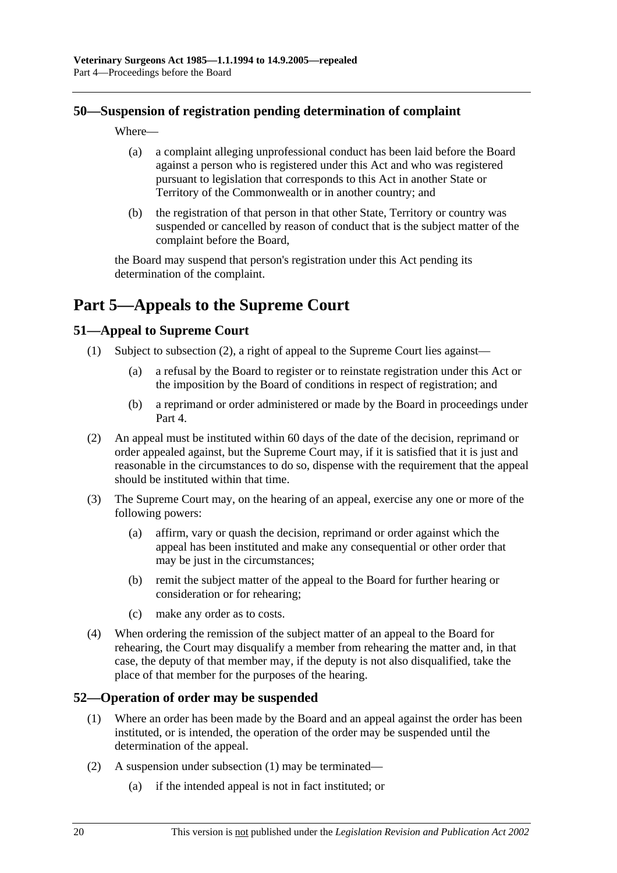### **50—Suspension of registration pending determination of complaint**

Where—

- (a) a complaint alleging unprofessional conduct has been laid before the Board against a person who is registered under this Act and who was registered pursuant to legislation that corresponds to this Act in another State or Territory of the Commonwealth or in another country; and
- (b) the registration of that person in that other State, Territory or country was suspended or cancelled by reason of conduct that is the subject matter of the complaint before the Board,

the Board may suspend that person's registration under this Act pending its determination of the complaint.

# **Part 5—Appeals to the Supreme Court**

### **51—Appeal to Supreme Court**

- (1) Subject to subsection (2), a right of appeal to the Supreme Court lies against—
	- (a) a refusal by the Board to register or to reinstate registration under this Act or the imposition by the Board of conditions in respect of registration; and
	- (b) a reprimand or order administered or made by the Board in proceedings under Part 4.
- (2) An appeal must be instituted within 60 days of the date of the decision, reprimand or order appealed against, but the Supreme Court may, if it is satisfied that it is just and reasonable in the circumstances to do so, dispense with the requirement that the appeal should be instituted within that time.
- (3) The Supreme Court may, on the hearing of an appeal, exercise any one or more of the following powers:
	- (a) affirm, vary or quash the decision, reprimand or order against which the appeal has been instituted and make any consequential or other order that may be just in the circumstances;
	- (b) remit the subject matter of the appeal to the Board for further hearing or consideration or for rehearing;
	- (c) make any order as to costs.
- (4) When ordering the remission of the subject matter of an appeal to the Board for rehearing, the Court may disqualify a member from rehearing the matter and, in that case, the deputy of that member may, if the deputy is not also disqualified, take the place of that member for the purposes of the hearing.

### **52—Operation of order may be suspended**

- (1) Where an order has been made by the Board and an appeal against the order has been instituted, or is intended, the operation of the order may be suspended until the determination of the appeal.
- (2) A suspension under subsection (1) may be terminated—
	- (a) if the intended appeal is not in fact instituted; or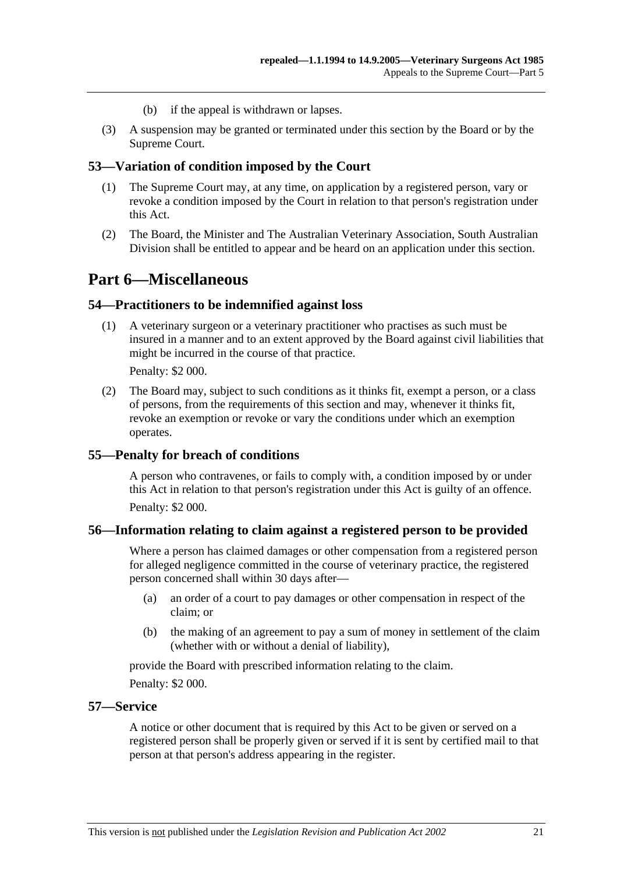- (b) if the appeal is withdrawn or lapses.
- (3) A suspension may be granted or terminated under this section by the Board or by the Supreme Court.

### **53—Variation of condition imposed by the Court**

- (1) The Supreme Court may, at any time, on application by a registered person, vary or revoke a condition imposed by the Court in relation to that person's registration under this Act.
- (2) The Board, the Minister and The Australian Veterinary Association, South Australian Division shall be entitled to appear and be heard on an application under this section.

## **Part 6—Miscellaneous**

#### **54—Practitioners to be indemnified against loss**

 (1) A veterinary surgeon or a veterinary practitioner who practises as such must be insured in a manner and to an extent approved by the Board against civil liabilities that might be incurred in the course of that practice.

Penalty: \$2 000.

 (2) The Board may, subject to such conditions as it thinks fit, exempt a person, or a class of persons, from the requirements of this section and may, whenever it thinks fit, revoke an exemption or revoke or vary the conditions under which an exemption operates.

#### **55—Penalty for breach of conditions**

A person who contravenes, or fails to comply with, a condition imposed by or under this Act in relation to that person's registration under this Act is guilty of an offence. Penalty: \$2 000.

### **56—Information relating to claim against a registered person to be provided**

Where a person has claimed damages or other compensation from a registered person for alleged negligence committed in the course of veterinary practice, the registered person concerned shall within 30 days after—

- (a) an order of a court to pay damages or other compensation in respect of the claim; or
- (b) the making of an agreement to pay a sum of money in settlement of the claim (whether with or without a denial of liability),

provide the Board with prescribed information relating to the claim.

Penalty: \$2 000.

#### **57—Service**

A notice or other document that is required by this Act to be given or served on a registered person shall be properly given or served if it is sent by certified mail to that person at that person's address appearing in the register.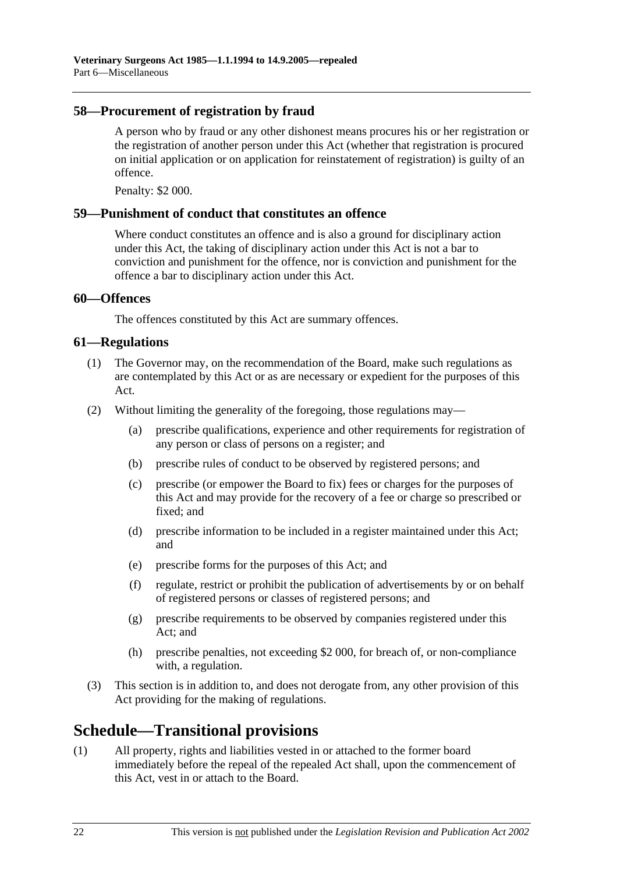### **58—Procurement of registration by fraud**

A person who by fraud or any other dishonest means procures his or her registration or the registration of another person under this Act (whether that registration is procured on initial application or on application for reinstatement of registration) is guilty of an offence.

Penalty: \$2 000.

### **59—Punishment of conduct that constitutes an offence**

Where conduct constitutes an offence and is also a ground for disciplinary action under this Act, the taking of disciplinary action under this Act is not a bar to conviction and punishment for the offence, nor is conviction and punishment for the offence a bar to disciplinary action under this Act.

### **60—Offences**

The offences constituted by this Act are summary offences.

### **61—Regulations**

- (1) The Governor may, on the recommendation of the Board, make such regulations as are contemplated by this Act or as are necessary or expedient for the purposes of this Act.
- (2) Without limiting the generality of the foregoing, those regulations may—
	- (a) prescribe qualifications, experience and other requirements for registration of any person or class of persons on a register; and
	- (b) prescribe rules of conduct to be observed by registered persons; and
	- (c) prescribe (or empower the Board to fix) fees or charges for the purposes of this Act and may provide for the recovery of a fee or charge so prescribed or fixed; and
	- (d) prescribe information to be included in a register maintained under this Act; and
	- (e) prescribe forms for the purposes of this Act; and
	- (f) regulate, restrict or prohibit the publication of advertisements by or on behalf of registered persons or classes of registered persons; and
	- (g) prescribe requirements to be observed by companies registered under this Act; and
	- (h) prescribe penalties, not exceeding \$2 000, for breach of, or non-compliance with, a regulation.
- (3) This section is in addition to, and does not derogate from, any other provision of this Act providing for the making of regulations.

## **Schedule—Transitional provisions**

(1) All property, rights and liabilities vested in or attached to the former board immediately before the repeal of the repealed Act shall, upon the commencement of this Act, vest in or attach to the Board.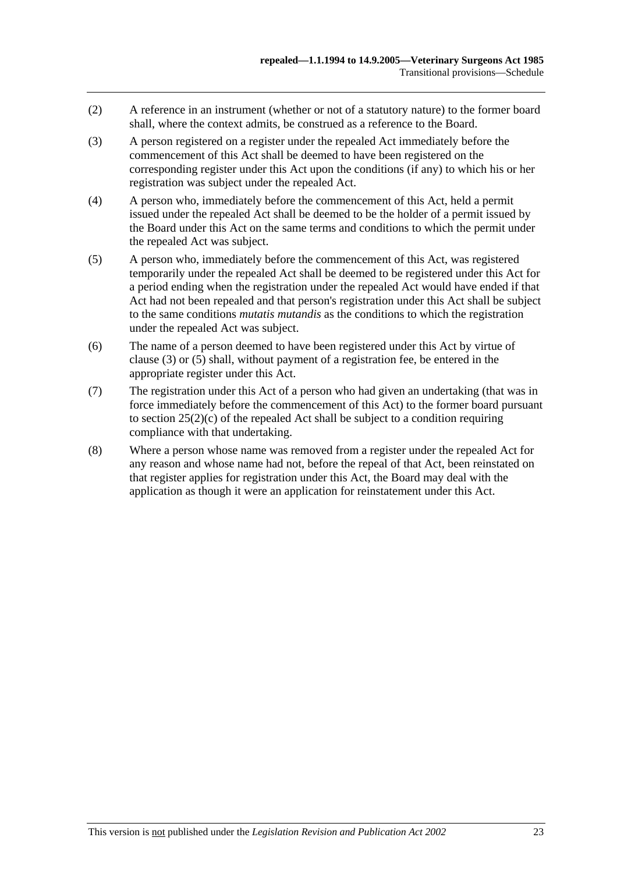- (2) A reference in an instrument (whether or not of a statutory nature) to the former board shall, where the context admits, be construed as a reference to the Board.
- (3) A person registered on a register under the repealed Act immediately before the commencement of this Act shall be deemed to have been registered on the corresponding register under this Act upon the conditions (if any) to which his or her registration was subject under the repealed Act.
- (4) A person who, immediately before the commencement of this Act, held a permit issued under the repealed Act shall be deemed to be the holder of a permit issued by the Board under this Act on the same terms and conditions to which the permit under the repealed Act was subject.
- (5) A person who, immediately before the commencement of this Act, was registered temporarily under the repealed Act shall be deemed to be registered under this Act for a period ending when the registration under the repealed Act would have ended if that Act had not been repealed and that person's registration under this Act shall be subject to the same conditions *mutatis mutandis* as the conditions to which the registration under the repealed Act was subject.
- (6) The name of a person deemed to have been registered under this Act by virtue of clause (3) or (5) shall, without payment of a registration fee, be entered in the appropriate register under this Act.
- (7) The registration under this Act of a person who had given an undertaking (that was in force immediately before the commencement of this Act) to the former board pursuant to section  $25(2)(c)$  of the repealed Act shall be subject to a condition requiring compliance with that undertaking.
- (8) Where a person whose name was removed from a register under the repealed Act for any reason and whose name had not, before the repeal of that Act, been reinstated on that register applies for registration under this Act, the Board may deal with the application as though it were an application for reinstatement under this Act.